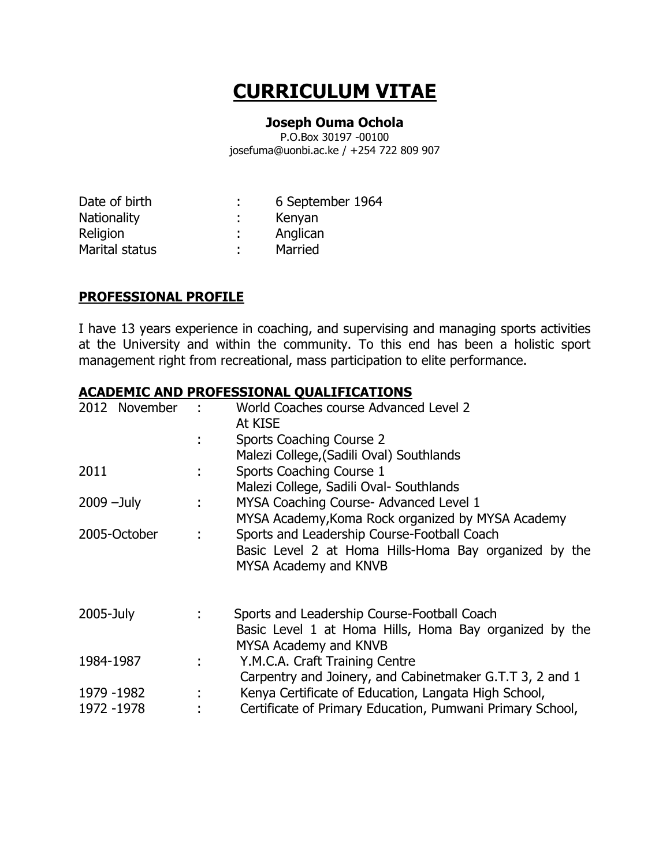# **CURRICULUM VITAE**

#### **Joseph Ouma Ochola**

P.O.Box 30197 -00100 josefuma@uonbi.ac.ke / +254 722 809 907

| 6 September 1964 |
|------------------|
| Kenyan           |
| Anglican         |
| Married          |
|                  |

### **PROFESSIONAL PROFILE**

I have 13 years experience in coaching, and supervising and managing sports activities at the University and within the community. To this end has been a holistic sport management right from recreational, mass participation to elite performance.

#### **ACADEMIC AND PROFESSIONAL QUALIFICATIONS**

| 2012 November             |    | World Coaches course Advanced Level 2<br>At KISE<br>Sports Coaching Course 2<br>Malezi College, (Sadili Oval) Southlands                                                      |
|---------------------------|----|-------------------------------------------------------------------------------------------------------------------------------------------------------------------------------|
| 2011                      | ÷. | Sports Coaching Course 1                                                                                                                                                      |
| $2009 - July$             | t, | Malezi College, Sadili Oval- Southlands<br>MYSA Coaching Course- Advanced Level 1<br>MYSA Academy, Koma Rock organized by MYSA Academy                                        |
| 2005-October              | ÷  | Sports and Leadership Course-Football Coach<br>Basic Level 2 at Homa Hills-Homa Bay organized by the<br>MYSA Academy and KNVB                                                 |
| 2005-July                 |    | Sports and Leadership Course-Football Coach<br>Basic Level 1 at Homa Hills, Homa Bay organized by the<br>MYSA Academy and KNVB                                                |
| 1984-1987                 |    | Y.M.C.A. Craft Training Centre                                                                                                                                                |
| 1979 -1982<br>1972 - 1978 | ÷  | Carpentry and Joinery, and Cabinetmaker G.T.T 3, 2 and 1<br>Kenya Certificate of Education, Langata High School,<br>Certificate of Primary Education, Pumwani Primary School, |